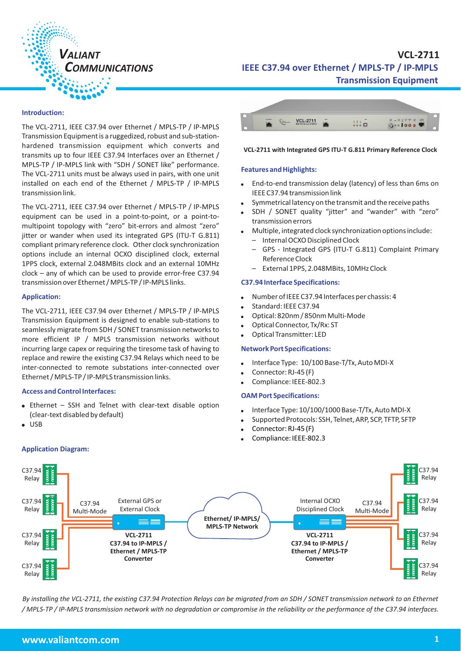

# *COMMUNICATIONS* **IEEE C37.94 over Ethernet / MPLS-TP / IP-MPLS Transmission Equipment VCL-2711**

#### **Introduction:**

The VCL-2711, IEEE C37.94 over Ethernet / MPLS-TP / IP-MPLS Transmission Equipment is a ruggedized, robust and sub-stationhardened transmission equipment which converts and transmits up to four IEEE C37.94 Interfaces over an Ethernet / MPLS-TP / IP-MPLS link with "SDH / SONET like" performance. The VCL-2711 units must be always used in pairs, with one unit installed on each end of the Ethernet / MPLS-TP / IP-MPLS transmission link.

The VCL-2711, IEEE C37.94 over Ethernet / MPLS-TP / IP-MPLS equipment can be used in a point-to-point, or a point-tomultipoint topology with "zero" bit-errors and almost "zero" jitter or wander when used its integrated GPS (ITU-T G.811) compliant primary reference clock. Other clock synchronization options include an internal OCXO disciplined clock, external 1PPS clock, external 2.048MBits clock and an external 10MHz clock – any of which can be used to provide error-free C37.94 transmission over Ethernet / MPLS-TP / IP-MPLS links.

#### **Application:**

The VCL-2711, IEEE C37.94 over Ethernet / MPLS-TP / IP-MPLS Transmission Equipment is designed to enable sub-stations to seamlessly migrate from SDH / SONET transmission networks to more efficient IP / MPLS transmission networks without incurring large capex or requiring the tiresome task of having to replace and rewire the existing C37.94 Relays which need to be inter-connected to remote substations inter-connected over Ethernet / MPLS-TP / IP-MPLS transmission links.

#### **Access and Control Interfaces:**

**Application Diagram:** 

- Ethernet SSH and Telnet with clear-text disable option (clear-text disabled by default)
- -USB

# **VCL-2711**  $\ldots$   $\ldots$  $\bullet$   $\bullet$   $\bullet$   $\bullet$

#### **VCL-2711 with Integrated GPS ITU-T G.811 Primary Reference Clock**

#### **Features and Highlights:**

- End-to-end transmission delay (latency) of less than 6ms on IEEE C37.94 transmission link
- -Symmetrical latency on the transmit and the receive paths
- - SDH / SONET quality "jitter" and "wander" with "zero" transmission errors
- Multiple, integrated clock synchronization options include:
	- Internal OCXO Disciplined Clock
	- GPS Integrated GPS (ITU-T G.811) Complaint Primary Reference Clock
	- External 1PPS, 2.048MBits, 10MHz Clock

#### **C37.94 Interface Specifications:**

- -Number of IEEE C37.94 Interfaces per chassis: 4
- -Standard: IEEE C37.94
- -Optical: 820nm / 850nm Multi-Mode
- -Optical Connector, Tx/Rx: ST
- -Optical Transmitter: LED

#### **Network Port Specifications:**

- -Interface Type: 10/100 Base-T/Tx, Auto MDI-X
- -Connector: RJ-45 (F)
- -Compliance: IEEE-802.3

#### **OAM Port Specifications:**

- -Interface Type: 10/100/1000 Base-T/Tx, Auto MDI-X
- -Supported Protocols: SSH, Telnet, ARP, SCP, TFTP, SFTP
- -Connector: RJ-45 (F)
- -Compliance: IEEE-802.3



*By installing the VCL-2711, the existing C37.94 Protection Relays can be migrated from an SDH / SONET transmission network to an Ethernet / MPLS-TP / IP-MPLS transmission network with no degradation or compromise in the reliability or the performance of the C37.94 interfaces.*